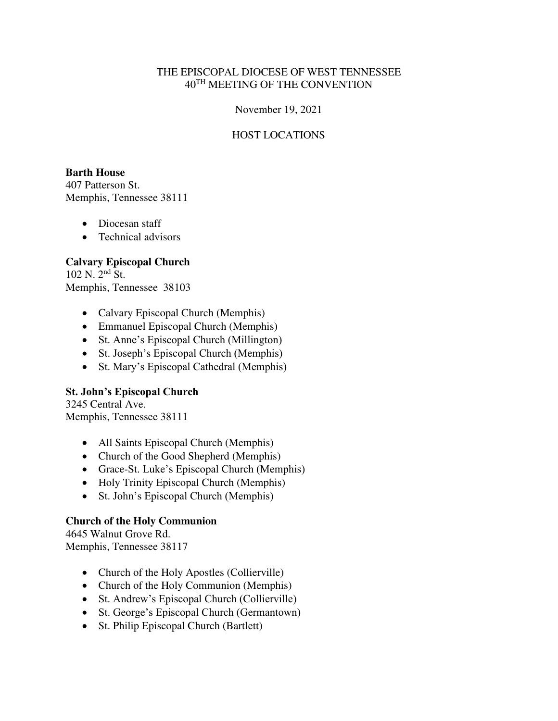### THE EPISCOPAL DIOCESE OF WEST TENNESSEE 40TH MEETING OF THE CONVENTION

#### November 19, 2021

### HOST LOCATIONS

#### **Barth House**

407 Patterson St. Memphis, Tennessee 38111

- Diocesan staff
- Technical advisors

### **Calvary Episcopal Church**

102 N. 2nd St. Memphis, Tennessee 38103

- Calvary Episcopal Church (Memphis)
- Emmanuel Episcopal Church (Memphis)
- St. Anne's Episcopal Church (Millington)
- St. Joseph's Episcopal Church (Memphis)
- St. Mary's Episcopal Cathedral (Memphis)

### **St. John's Episcopal Church**

3245 Central Ave. Memphis, Tennessee 38111

- All Saints Episcopal Church (Memphis)
- Church of the Good Shepherd (Memphis)
- Grace-St. Luke's Episcopal Church (Memphis)
- Holy Trinity Episcopal Church (Memphis)
- St. John's Episcopal Church (Memphis)

### **Church of the Holy Communion**

4645 Walnut Grove Rd. Memphis, Tennessee 38117

- Church of the Holy Apostles (Collierville)
- Church of the Holy Communion (Memphis)
- St. Andrew's Episcopal Church (Collierville)
- St. George's Episcopal Church (Germantown)
- St. Philip Episcopal Church (Bartlett)